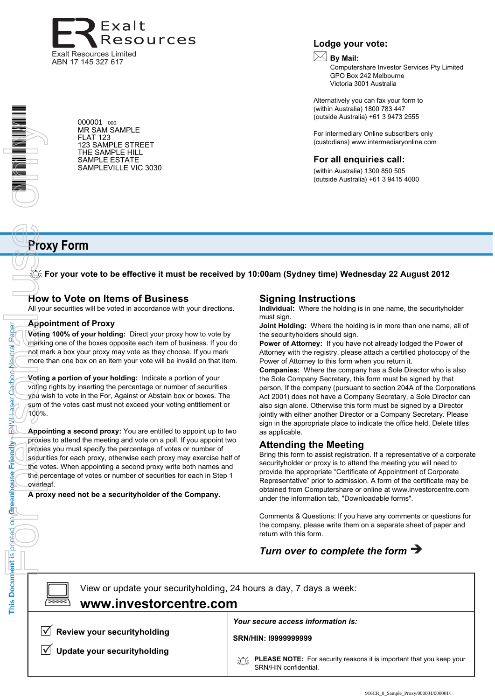

Nortis principal on General person (Catbon Neutral Paper)<br>
Only to the condition of the condition of the condition of the condition of the provision of the provision of the provision of the provision of the provision of th

Paper

Neutral

Carbon

**aser** 

**HANH** 

Friendly

This Document is printed on Greenhouse

000001 <sup>000</sup> MR SAM SAMPLE FLAT 123 123 SAMPLE STREET THE SAMPLE HILL SAMPLE ESTATE SAMPLEVILLE VIC 3030

#### **Lodge your vote:**

# **By Mail:**

Computershare Investor Services Pty Limited GPO Box 242 Melbourne Victoria 3001 Australia

Alternatively you can fax your form to (within Australia) 1800 783 447 (outside Australia) +61 3 9473 2555

For intermediary Online subscribers only (custodians) www.intermediaryonline.com

#### **For all enquiries call:**

(within Australia) 1300 850 505 (outside Australia) +61 3 9415 4000

# **Proxy Form**

**For your vote to be effective it must be received by 10:00am (Sydney time) Wednesday 22 August 2012**

## **How to Vote on Items of Business**

All your securities will be voted in accordance with your directions.

#### **Appointment of Proxy**

**Voting 100% of your holding:** Direct your proxy how to vote by marking one of the boxes opposite each item of business. If you do not mark a box your proxy may vote as they choose. If you mark more than one box on an item your vote will be invalid on that item.

**Voting a portion of your holding:** Indicate a portion of your voting rights by inserting the percentage or number of securities you wish to vote in the For, Against or Abstain box or boxes. The sum of the votes cast must not exceed your voting entitlement or 100%.

**Appointing a second proxy:** You are entitled to appoint up to two proxies to attend the meeting and vote on a poll. If you appoint two proxies you must specify the percentage of votes or number of securities for each proxy, otherwise each proxy may exercise half of the votes. When appointing a second proxy write both names and the percentage of votes or number of securities for each in Step 1 overleaf.

**A proxy need not be a securityholder of the Company.**

## **Signing Instructions**

**Individual:** Where the holding is in one name, the securityholder must sign.

**Joint Holding:** Where the holding is in more than one name, all of the securityholders should sign.

**Power of Attorney:** If you have not already lodged the Power of Attorney with the registry, please attach a certified photocopy of the Power of Attorney to this form when you return it.

**Companies:** Where the company has a Sole Director who is also the Sole Company Secretary, this form must be signed by that person. If the company (pursuant to section 204A of the Corporations Act 2001) does not have a Company Secretary, a Sole Director can also sign alone. Otherwise this form must be signed by a Director jointly with either another Director or a Company Secretary. Please sign in the appropriate place to indicate the office held. Delete titles as applicable.

### **Attending the Meeting**

Bring this form to assist registration. If a representative of a corporate securityholder or proxy is to attend the meeting you will need to provide the appropriate "Certificate of Appointment of Corporate Representative" prior to admission. A form of the certificate may be obtained from Computershare or online at www.investorcentre.com under the information tab, "Downloadable forms".

Comments & Questions: If you have any comments or questions for the company, please write them on a separate sheet of paper and return with this form.

# *Turn over to complete the form*

 $\boxed{\square}$ 

View or update your securityholding, 24 hours a day, 7 days a week: **www.investorcentre.com**

 $\sqrt{ }$  Review your securityholding

**Update your securityholding**

#### *Your secure access information is:*

**SRN/HIN: I9999999999**

**PLEASE NOTE:** For security reasons it is important that you keep your SRN/HIN confidential.